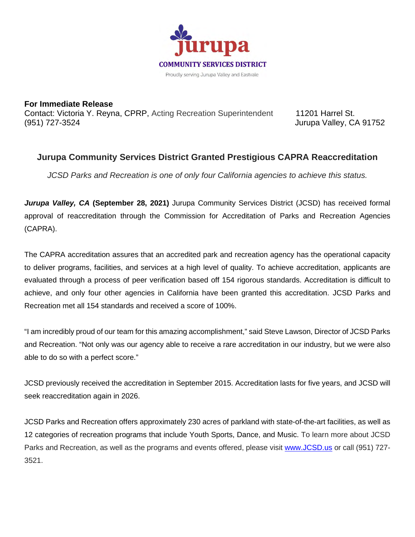

**For Immediate Release** Contact: Victoria Y. Reyna, CPRP, Acting Recreation Superintendent 11201 Harrel St. (951) 727-3524 Jurupa Valley, CA 91752

## **Jurupa Community Services District Granted Prestigious CAPRA Reaccreditation**

*JCSD Parks and Recreation is one of only four California agencies to achieve this status.*

*Jurupa Valley, CA* **(September 28, 2021)** Jurupa Community Services District (JCSD) has received formal approval of reaccreditation through the Commission for Accreditation of Parks and Recreation Agencies (CAPRA).

The CAPRA accreditation assures that an accredited park and recreation agency has the operational capacity to deliver programs, facilities, and services at a high level of quality. To achieve accreditation, applicants are evaluated through a process of peer verification based off 154 rigorous standards. Accreditation is difficult to achieve, and only four other agencies in California have been granted this accreditation. JCSD Parks and Recreation met all 154 standards and received a score of 100%.

"I am incredibly proud of our team for this amazing accomplishment," said Steve Lawson, Director of JCSD Parks and Recreation. "Not only was our agency able to receive a rare accreditation in our industry, but we were also able to do so with a perfect score."

JCSD previously received the accreditation in September 2015. Accreditation lasts for five years, and JCSD will seek reaccreditation again in 2026.

JCSD Parks and Recreation offers approximately 230 acres of parkland with state-of-the-art facilities, as well as 12 categories of recreation programs that include Youth Sports, Dance, and Music. To learn more about JCSD Parks and Recreation, as well as the programs and events offered, please visit [www.JCSD.us](http://www.jcsd.us/) or call (951) 727- 3521.